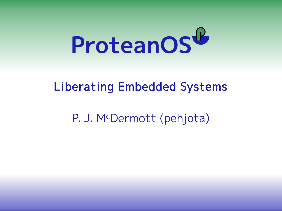

#### Liberating Embedded Systems

P. J. McDermott (pehjota)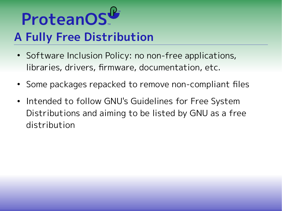

## **A Fully Free Distribution**

- Software Inclusion Policy: no non-free applications, libraries, drivers, firmware, documentation, etc.
- Some packages repacked to remove non-compliant files
- Intended to follow GNU's Guidelines for Free System Distributions and aiming to be listed by GNU as a free distribution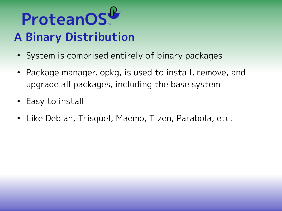

- System is comprised entirely of binary packages
- Package manager, opkg, is used to install, remove, and upgrade all packages, including the base system
- Easy to install
- Like Debian, Trisquel, Maemo, Tizen, Parabola, etc.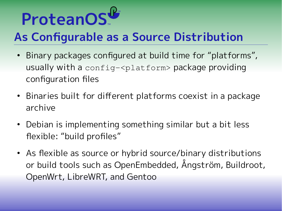

#### **As Configurable as a Source Distribution**

- Binary packages configured at build time for "platforms", usually with a config-<platform> package providing configuration files
- Binaries built for different platforms coexist in a package archive
- Debian is implementing something similar but a bit less flexible: "build profiles"
- As flexible as source or hybrid source/binary distributions or build tools such as OpenEmbedded, Ångström, Buildroot, OpenWrt, LibreWRT, and Gentoo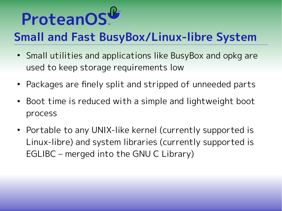

### **Small and Fast BusyBox/Linux-libre System**

- Small utilities and applications like BusyBox and opkg are used to keep storage requirements low
- Packages are finely split and stripped of unneeded parts
- Boot time is reduced with a simple and lightweight boot process
- Portable to any UNIX-like kernel (currently supported is Linux-libre) and system libraries (currently supported is EGLIBC – merged into the GNU C Library)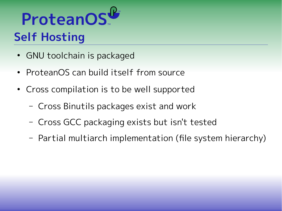# ProteanOS.<sup>B</sup> **Self Hosting**

- GNU toolchain is packaged
- ProteanOS can build itself from source
- Cross compilation is to be well supported
	- Cross Binutils packages exist and work
	- Cross GCC packaging exists but isn't tested
	- Partial multiarch implementation (file system hierarchy)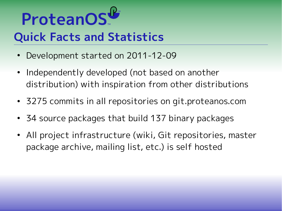

### **Quick Facts and Statistics**

- Development started on 2011-12-09
- Independently developed (not based on another distribution) with inspiration from other distributions
- 3275 commits in all repositories on git.proteanos.com
- 34 source packages that build 137 binary packages
- All project infrastructure (wiki, Git repositories, master package archive, mailing list, etc.) is self hosted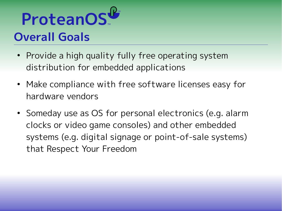

- Provide a high quality fully free operating system distribution for embedded applications
- Make compliance with free software licenses easy for hardware vendors
- Someday use as OS for personal electronics (e.g. alarm clocks or video game consoles) and other embedded systems (e.g. digital signage or point-of-sale systems) that Respect Your Freedom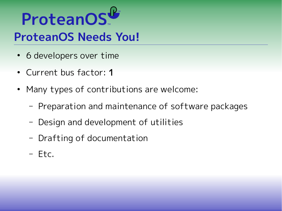

- 6 developers over time
- Current bus factor: 1
- Many types of contributions are welcome:
	- Preparation and maintenance of software packages
	- Design and development of utilities
	- Drafting of documentation
	- Etc.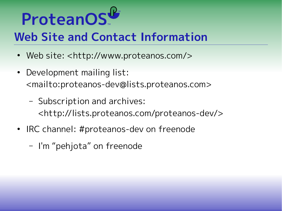

#### **Web Site and Contact Information**

- Web site: <http://www.proteanos.com/>
- Development mailing list: <mailto:proteanos-dev@lists.proteanos.com>
	- Subscription and archives: <http://lists.proteanos.com/proteanos-dev/>
- IRC channel: #proteanos-dev on freenode

– I'm "pehjota" on freenode